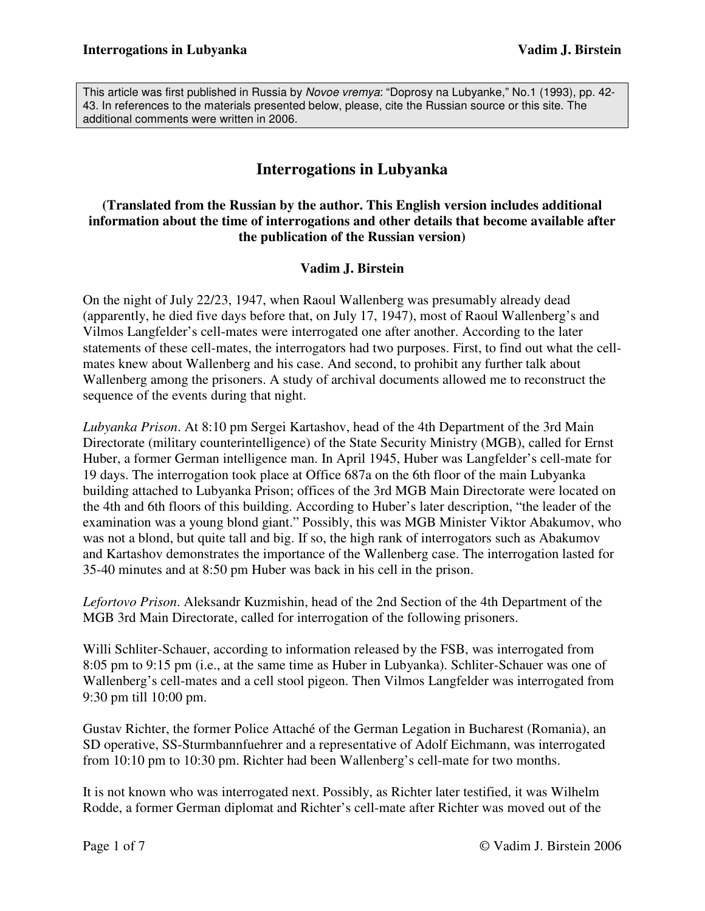This article was first published in Russia by Novoe vremya: "Doprosy na Lubyanke," No.1 (1993), pp. 42-43. In references to the materials presented below, please, cite the Russian source or this site. The additional comments were written in 2006.

# **Interrogations in Lubyanka**

#### **(Translated from the Russian by the author. This English version includes additional information about the time of interrogations and other details that become available after the publication of the Russian version)**

#### **Vadim J. Birstein**

On the night of July 22/23, 1947, when Raoul Wallenberg was presumably already dead (apparently, he died five days before that, on July 17, 1947), most of Raoul Wallenberg's and Vilmos Langfelder's cell-mates were interrogated one after another. According to the later statements of these cell-mates, the interrogators had two purposes. First, to find out what the cellmates knew about Wallenberg and his case. And second, to prohibit any further talk about Wallenberg among the prisoners. A study of archival documents allowed me to reconstruct the sequence of the events during that night.

*Lubyanka Prison*. At 8:10 pm Sergei Kartashov, head of the 4th Department of the 3rd Main Directorate (military counterintelligence) of the State Security Ministry (MGB), called for Ernst Huber, a former German intelligence man. In April 1945, Huber was Langfelder's cell-mate for 19 days. The interrogation took place at Office 687a on the 6th floor of the main Lubyanka building attached to Lubyanka Prison; offices of the 3rd MGB Main Directorate were located on the 4th and 6th floors of this building. According to Huber's later description, "the leader of the examination was a young blond giant." Possibly, this was MGB Minister Viktor Abakumov, who was not a blond, but quite tall and big. If so, the high rank of interrogators such as Abakumov and Kartashov demonstrates the importance of the Wallenberg case. The interrogation lasted for 35-40 minutes and at 8:50 pm Huber was back in his cell in the prison.

*Lefortovo Prison*. Aleksandr Kuzmishin, head of the 2nd Section of the 4th Department of the MGB 3rd Main Directorate, called for interrogation of the following prisoners.

Willi Schliter-Schauer, according to information released by the FSB, was interrogated from 8:05 pm to 9:15 pm (i.e., at the same time as Huber in Lubyanka). Schliter-Schauer was one of Wallenberg's cell-mates and a cell stool pigeon. Then Vilmos Langfelder was interrogated from 9:30 pm till 10:00 pm.

Gustav Richter, the former Police Attaché of the German Legation in Bucharest (Romania), an SD operative, SS-Sturmbannfuehrer and a representative of Adolf Eichmann, was interrogated from 10:10 pm to 10:30 pm. Richter had been Wallenberg's cell-mate for two months.

It is not known who was interrogated next. Possibly, as Richter later testified, it was Wilhelm Rodde, a former German diplomat and Richter's cell-mate after Richter was moved out of the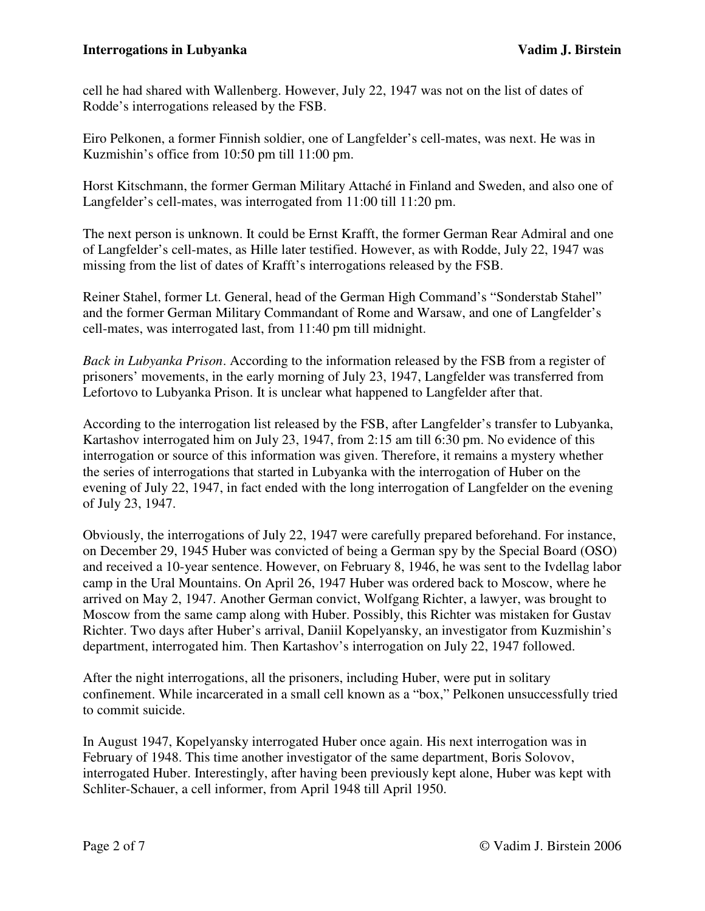cell he had shared with Wallenberg. However, July 22, 1947 was not on the list of dates of Rodde's interrogations released by the FSB.

Eiro Pelkonen, a former Finnish soldier, one of Langfelder's cell-mates, was next. He was in Kuzmishin's office from 10:50 pm till 11:00 pm.

Horst Kitschmann, the former German Military Attaché in Finland and Sweden, and also one of Langfelder's cell-mates, was interrogated from 11:00 till 11:20 pm.

The next person is unknown. It could be Ernst Krafft, the former German Rear Admiral and one of Langfelder's cell-mates, as Hille later testified. However, as with Rodde, July 22, 1947 was missing from the list of dates of Krafft's interrogations released by the FSB.

Reiner Stahel, former Lt. General, head of the German High Command's "Sonderstab Stahel" and the former German Military Commandant of Rome and Warsaw, and one of Langfelder's cell-mates, was interrogated last, from 11:40 pm till midnight.

*Back in Lubyanka Prison*. According to the information released by the FSB from a register of prisoners' movements, in the early morning of July 23, 1947, Langfelder was transferred from Lefortovo to Lubyanka Prison. It is unclear what happened to Langfelder after that.

According to the interrogation list released by the FSB, after Langfelder's transfer to Lubyanka, Kartashov interrogated him on July 23, 1947, from 2:15 am till 6:30 pm. No evidence of this interrogation or source of this information was given. Therefore, it remains a mystery whether the series of interrogations that started in Lubyanka with the interrogation of Huber on the evening of July 22, 1947, in fact ended with the long interrogation of Langfelder on the evening of July 23, 1947.

Obviously, the interrogations of July 22, 1947 were carefully prepared beforehand. For instance, on December 29, 1945 Huber was convicted of being a German spy by the Special Board (OSO) and received a 10-year sentence. However, on February 8, 1946, he was sent to the Ivdellag labor camp in the Ural Mountains. On April 26, 1947 Huber was ordered back to Moscow, where he arrived on May 2, 1947. Another German convict, Wolfgang Richter, a lawyer, was brought to Moscow from the same camp along with Huber. Possibly, this Richter was mistaken for Gustav Richter. Two days after Huber's arrival, Daniil Kopelyansky, an investigator from Kuzmishin's department, interrogated him. Then Kartashov's interrogation on July 22, 1947 followed.

After the night interrogations, all the prisoners, including Huber, were put in solitary confinement. While incarcerated in a small cell known as a "box," Pelkonen unsuccessfully tried to commit suicide.

In August 1947, Kopelyansky interrogated Huber once again. His next interrogation was in February of 1948. This time another investigator of the same department, Boris Solovov, interrogated Huber. Interestingly, after having been previously kept alone, Huber was kept with Schliter-Schauer, a cell informer, from April 1948 till April 1950.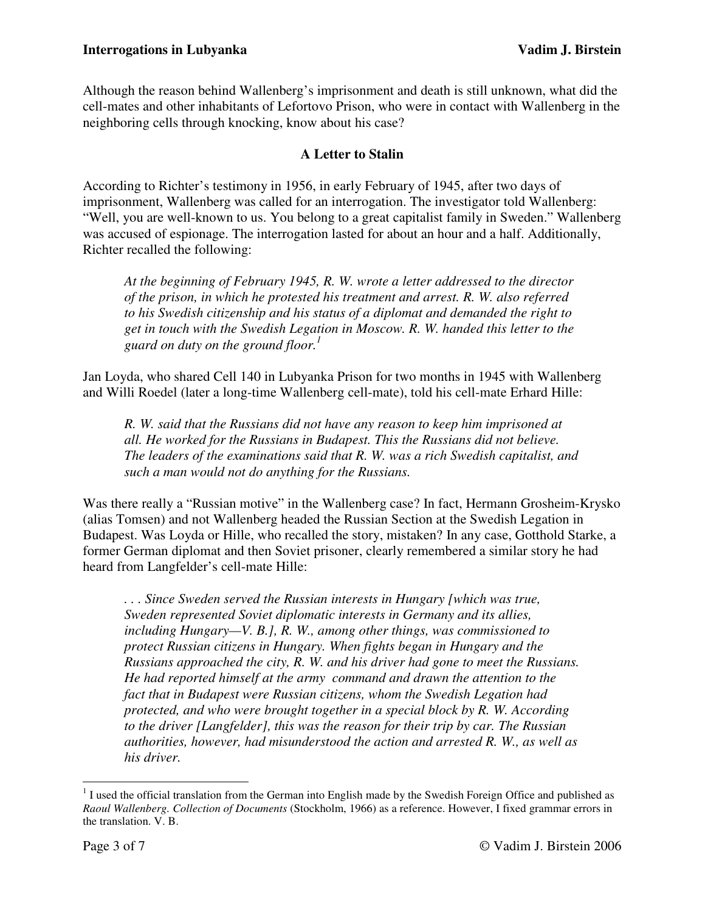Although the reason behind Wallenberg's imprisonment and death is still unknown, what did the cell-mates and other inhabitants of Lefortovo Prison, who were in contact with Wallenberg in the neighboring cells through knocking, know about his case?

### **A Letter to Stalin**

According to Richter's testimony in 1956, in early February of 1945, after two days of imprisonment, Wallenberg was called for an interrogation. The investigator told Wallenberg: "Well, you are well-known to us. You belong to a great capitalist family in Sweden." Wallenberg was accused of espionage. The interrogation lasted for about an hour and a half. Additionally, Richter recalled the following:

*At the beginning of February 1945, R. W. wrote a letter addressed to the director of the prison, in which he protested his treatment and arrest. R. W. also referred to his Swedish citizenship and his status of a diplomat and demanded the right to get in touch with the Swedish Legation in Moscow. R. W. handed this letter to the guard on duty on the ground floor.<sup>1</sup>*

Jan Loyda, who shared Cell 140 in Lubyanka Prison for two months in 1945 with Wallenberg and Willi Roedel (later a long-time Wallenberg cell-mate), told his cell-mate Erhard Hille:

*R. W. said that the Russians did not have any reason to keep him imprisoned at all. He worked for the Russians in Budapest. This the Russians did not believe. The leaders of the examinations said that R. W. was a rich Swedish capitalist, and such a man would not do anything for the Russians.* 

Was there really a "Russian motive" in the Wallenberg case? In fact, Hermann Grosheim-Krysko (alias Tomsen) and not Wallenberg headed the Russian Section at the Swedish Legation in Budapest. Was Loyda or Hille, who recalled the story, mistaken? In any case, Gotthold Starke, a former German diplomat and then Soviet prisoner, clearly remembered a similar story he had heard from Langfelder's cell-mate Hille:

*. . . Since Sweden served the Russian interests in Hungary [which was true, Sweden represented Soviet diplomatic interests in Germany and its allies, including Hungary—V. B.], R. W., among other things, was commissioned to protect Russian citizens in Hungary. When fights began in Hungary and the Russians approached the city, R. W. and his driver had gone to meet the Russians. He had reported himself at the army command and drawn the attention to the fact that in Budapest were Russian citizens, whom the Swedish Legation had protected, and who were brought together in a special block by R. W. According to the driver [Langfelder], this was the reason for their trip by car. The Russian authorities, however, had misunderstood the action and arrested R. W., as well as his driver.* 

 $\overline{a}$  $<sup>1</sup>$  I used the official translation from the German into English made by the Swedish Foreign Office and published as</sup> *Raoul Wallenberg. Collection of Documents* (Stockholm, 1966) as a reference. However, I fixed grammar errors in the translation. V. B.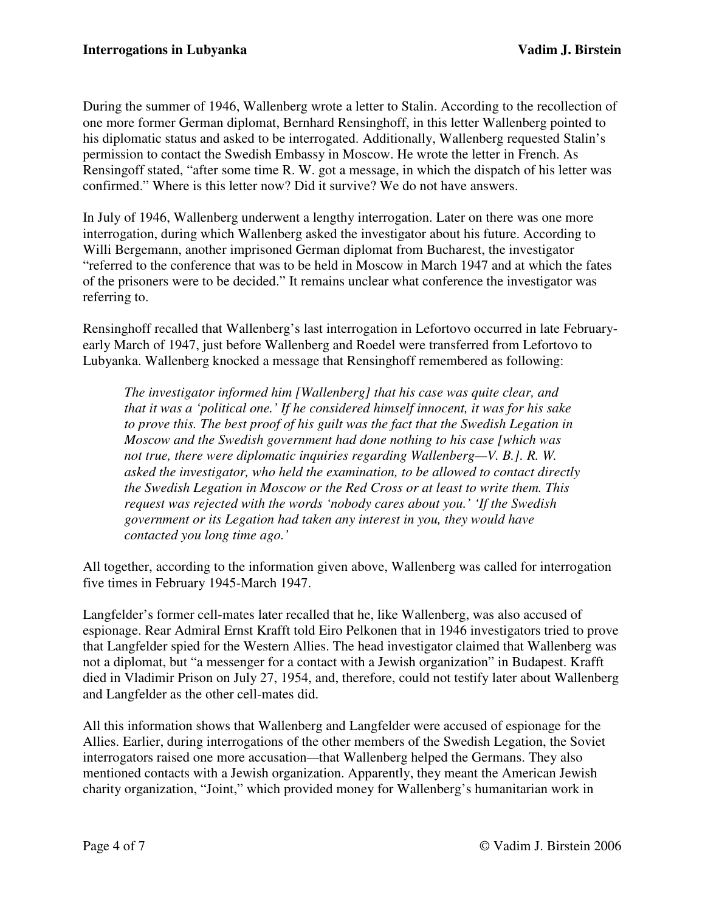During the summer of 1946, Wallenberg wrote a letter to Stalin. According to the recollection of one more former German diplomat, Bernhard Rensinghoff, in this letter Wallenberg pointed to his diplomatic status and asked to be interrogated. Additionally, Wallenberg requested Stalin's permission to contact the Swedish Embassy in Moscow. He wrote the letter in French. As Rensingoff stated, "after some time R. W. got a message, in which the dispatch of his letter was confirmed." Where is this letter now? Did it survive? We do not have answers.

In July of 1946, Wallenberg underwent a lengthy interrogation. Later on there was one more interrogation, during which Wallenberg asked the investigator about his future. According to Willi Bergemann, another imprisoned German diplomat from Bucharest, the investigator "referred to the conference that was to be held in Moscow in March 1947 and at which the fates of the prisoners were to be decided." It remains unclear what conference the investigator was referring to.

Rensinghoff recalled that Wallenberg's last interrogation in Lefortovo occurred in late Februaryearly March of 1947, just before Wallenberg and Roedel were transferred from Lefortovo to Lubyanka. Wallenberg knocked a message that Rensinghoff remembered as following:

*The investigator informed him [Wallenberg] that his case was quite clear, and that it was a 'political one.' If he considered himself innocent, it was for his sake to prove this. The best proof of his guilt was the fact that the Swedish Legation in Moscow and the Swedish government had done nothing to his case [which was not true, there were diplomatic inquiries regarding Wallenberg—V. B.]. R. W. asked the investigator, who held the examination, to be allowed to contact directly the Swedish Legation in Moscow or the Red Cross or at least to write them. This request was rejected with the words 'nobody cares about you.' 'If the Swedish government or its Legation had taken any interest in you, they would have contacted you long time ago.'* 

All together, according to the information given above, Wallenberg was called for interrogation five times in February 1945-March 1947.

Langfelder's former cell-mates later recalled that he, like Wallenberg, was also accused of espionage. Rear Admiral Ernst Krafft told Eiro Pelkonen that in 1946 investigators tried to prove that Langfelder spied for the Western Allies. The head investigator claimed that Wallenberg was not a diplomat, but "a messenger for a contact with a Jewish organization" in Budapest. Krafft died in Vladimir Prison on July 27, 1954, and, therefore, could not testify later about Wallenberg and Langfelder as the other cell-mates did.

All this information shows that Wallenberg and Langfelder were accused of espionage for the Allies. Earlier, during interrogations of the other members of the Swedish Legation, the Soviet interrogators raised one more accusation*—*that Wallenberg helped the Germans. They also mentioned contacts with a Jewish organization. Apparently, they meant the American Jewish charity organization, "Joint," which provided money for Wallenberg's humanitarian work in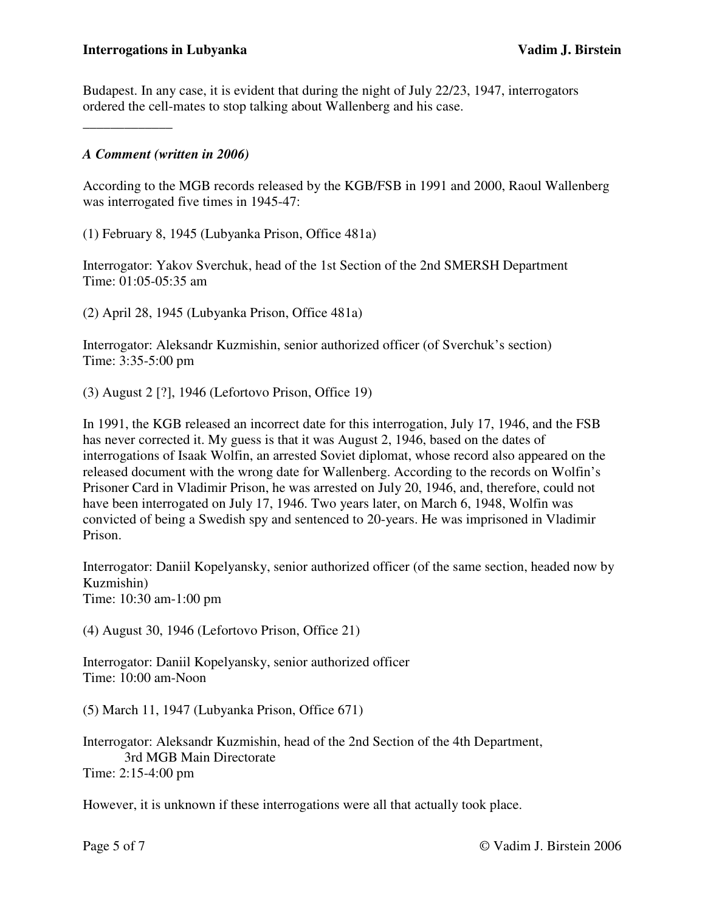Budapest. In any case, it is evident that during the night of July 22/23, 1947, interrogators ordered the cell-mates to stop talking about Wallenberg and his case.

## *A Comment (written in 2006)*

\_\_\_\_\_\_\_\_\_\_\_\_\_

According to the MGB records released by the KGB/FSB in 1991 and 2000, Raoul Wallenberg was interrogated five times in 1945-47:

(1) February 8, 1945 (Lubyanka Prison, Office 481a)

Interrogator: Yakov Sverchuk, head of the 1st Section of the 2nd SMERSH Department Time: 01:05-05:35 am

(2) April 28, 1945 (Lubyanka Prison, Office 481a)

Interrogator: Aleksandr Kuzmishin, senior authorized officer (of Sverchuk's section) Time: 3:35-5:00 pm

(3) August 2 [?], 1946 (Lefortovo Prison, Office 19)

In 1991, the KGB released an incorrect date for this interrogation, July 17, 1946, and the FSB has never corrected it. My guess is that it was August 2, 1946, based on the dates of interrogations of Isaak Wolfin, an arrested Soviet diplomat, whose record also appeared on the released document with the wrong date for Wallenberg. According to the records on Wolfin's Prisoner Card in Vladimir Prison, he was arrested on July 20, 1946, and, therefore, could not have been interrogated on July 17, 1946. Two years later, on March 6, 1948, Wolfin was convicted of being a Swedish spy and sentenced to 20-years. He was imprisoned in Vladimir Prison.

Interrogator: Daniil Kopelyansky, senior authorized officer (of the same section, headed now by Kuzmishin) Time: 10:30 am-1:00 pm

(4) August 30, 1946 (Lefortovo Prison, Office 21)

Interrogator: Daniil Kopelyansky, senior authorized officer Time: 10:00 am-Noon

(5) March 11, 1947 (Lubyanka Prison, Office 671)

Interrogator: Aleksandr Kuzmishin, head of the 2nd Section of the 4th Department, 3rd MGB Main Directorate Time: 2:15-4:00 pm

However, it is unknown if these interrogations were all that actually took place.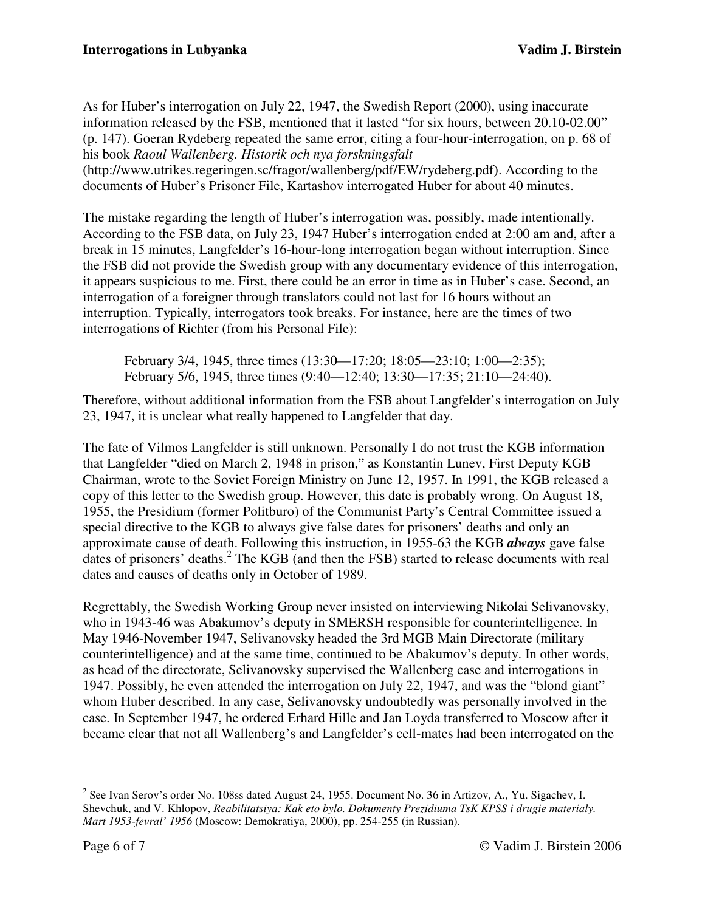As for Huber's interrogation on July 22, 1947, the Swedish Report (2000), using inaccurate information released by the FSB, mentioned that it lasted "for six hours, between 20.10-02.00" (p. 147). Goeran Rydeberg repeated the same error, citing a four-hour-interrogation, on p. 68 of his book *Raoul Wallenberg. Historik och nya forskningsfalt* (http://www.utrikes.regeringen.sc/fragor/wallenberg/pdf/EW/rydeberg.pdf). According to the documents of Huber's Prisoner File, Kartashov interrogated Huber for about 40 minutes.

The mistake regarding the length of Huber's interrogation was, possibly, made intentionally. According to the FSB data, on July 23, 1947 Huber's interrogation ended at 2:00 am and, after a break in 15 minutes, Langfelder's 16-hour-long interrogation began without interruption. Since the FSB did not provide the Swedish group with any documentary evidence of this interrogation, it appears suspicious to me. First, there could be an error in time as in Huber's case. Second, an interrogation of a foreigner through translators could not last for 16 hours without an interruption. Typically, interrogators took breaks. For instance, here are the times of two interrogations of Richter (from his Personal File):

 February 3/4, 1945, three times (13:30—17:20; 18:05—23:10; 1:00—2:35); February 5/6, 1945, three times (9:40—12:40; 13:30—17:35; 21:10—24:40).

Therefore, without additional information from the FSB about Langfelder's interrogation on July 23, 1947, it is unclear what really happened to Langfelder that day.

The fate of Vilmos Langfelder is still unknown. Personally I do not trust the KGB information that Langfelder "died on March 2, 1948 in prison," as Konstantin Lunev, First Deputy KGB Chairman, wrote to the Soviet Foreign Ministry on June 12, 1957. In 1991, the KGB released a copy of this letter to the Swedish group. However, this date is probably wrong. On August 18, 1955, the Presidium (former Politburo) of the Communist Party's Central Committee issued a special directive to the KGB to always give false dates for prisoners' deaths and only an approximate cause of death. Following this instruction, in 1955-63 the KGB *always* gave false dates of prisoners' deaths.<sup>2</sup> The KGB (and then the FSB) started to release documents with real dates and causes of deaths only in October of 1989.

Regrettably, the Swedish Working Group never insisted on interviewing Nikolai Selivanovsky, who in 1943-46 was Abakumov's deputy in SMERSH responsible for counterintelligence. In May 1946-November 1947, Selivanovsky headed the 3rd MGB Main Directorate (military counterintelligence) and at the same time, continued to be Abakumov's deputy. In other words, as head of the directorate, Selivanovsky supervised the Wallenberg case and interrogations in 1947. Possibly, he even attended the interrogation on July 22, 1947, and was the "blond giant" whom Huber described. In any case, Selivanovsky undoubtedly was personally involved in the case. In September 1947, he ordered Erhard Hille and Jan Loyda transferred to Moscow after it became clear that not all Wallenberg's and Langfelder's cell-mates had been interrogated on the

<sup>&</sup>lt;sup>2</sup> See Ivan Serov's order No. 108ss dated August 24, 1955. Document No. 36 in Artizov, A., Yu. Sigachev, I. Shevchuk, and V. Khlopov, *Reabilitatsiya: Kak eto bylo. Dokumenty Prezidiuma TsK KPSS i drugie materialy. Mart 1953-fevral' 1956* (Moscow: Demokratiya, 2000), pp. 254-255 (in Russian).